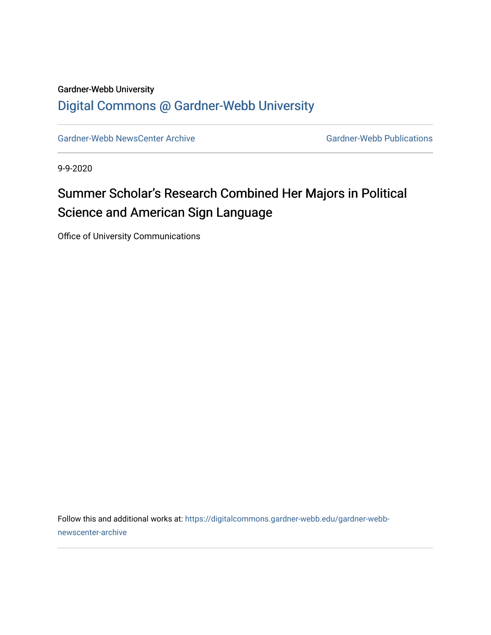#### Gardner-Webb University [Digital Commons @ Gardner-Webb University](https://digitalcommons.gardner-webb.edu/)

[Gardner-Webb NewsCenter Archive](https://digitalcommons.gardner-webb.edu/gardner-webb-newscenter-archive) Gardner-Webb Publications

9-9-2020

### Summer Scholar's Research Combined Her Majors in Political Science and American Sign Language

Office of University Communications

Follow this and additional works at: [https://digitalcommons.gardner-webb.edu/gardner-webb](https://digitalcommons.gardner-webb.edu/gardner-webb-newscenter-archive?utm_source=digitalcommons.gardner-webb.edu%2Fgardner-webb-newscenter-archive%2F2135&utm_medium=PDF&utm_campaign=PDFCoverPages)[newscenter-archive](https://digitalcommons.gardner-webb.edu/gardner-webb-newscenter-archive?utm_source=digitalcommons.gardner-webb.edu%2Fgardner-webb-newscenter-archive%2F2135&utm_medium=PDF&utm_campaign=PDFCoverPages)